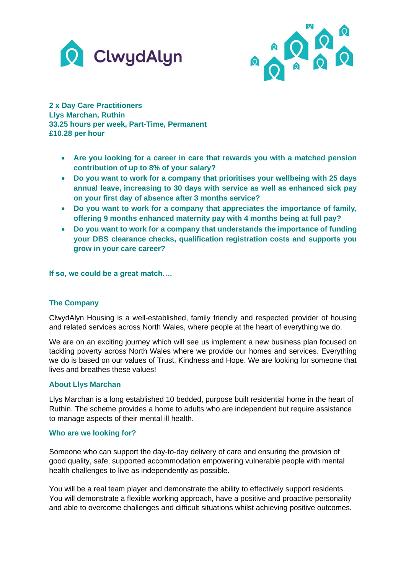



**2 x Day Care Practitioners Llys Marchan, Ruthin 33.25 hours per week, Part-Time, Permanent £10.28 per hour**

- **Are you looking for a career in care that rewards you with a matched pension contribution of up to 8% of your salary?**
- **Do you want to work for a company that prioritises your wellbeing with 25 days annual leave, increasing to 30 days with service as well as enhanced sick pay on your first day of absence after 3 months service?**
- **Do you want to work for a company that appreciates the importance of family, offering 9 months enhanced maternity pay with 4 months being at full pay?**
- **Do you want to work for a company that understands the importance of funding your DBS clearance checks, qualification registration costs and supports you grow in your care career?**

**If so, we could be a great match….**

# **The Company**

ClwydAlyn Housing is a well-established, family friendly and respected provider of housing and related services across North Wales, where people at the heart of everything we do.

We are on an exciting journey which will see us implement a new business plan focused on tackling poverty across North Wales where we provide our homes and services. Everything we do is based on our values of Trust, Kindness and Hope. We are looking for someone that lives and breathes these values!

#### **About Llys Marchan**

Llys Marchan is a long established 10 bedded, purpose built residential home in the heart of Ruthin. The scheme provides a home to adults who are independent but require assistance to manage aspects of their mental ill health.

#### **Who are we looking for?**

Someone who can support the day-to-day delivery of care and ensuring the provision of good quality, safe, supported accommodation empowering vulnerable people with mental health challenges to live as independently as possible.

You will be a real team player and demonstrate the ability to effectively support residents. You will demonstrate a flexible working approach, have a positive and proactive personality and able to overcome challenges and difficult situations whilst achieving positive outcomes.